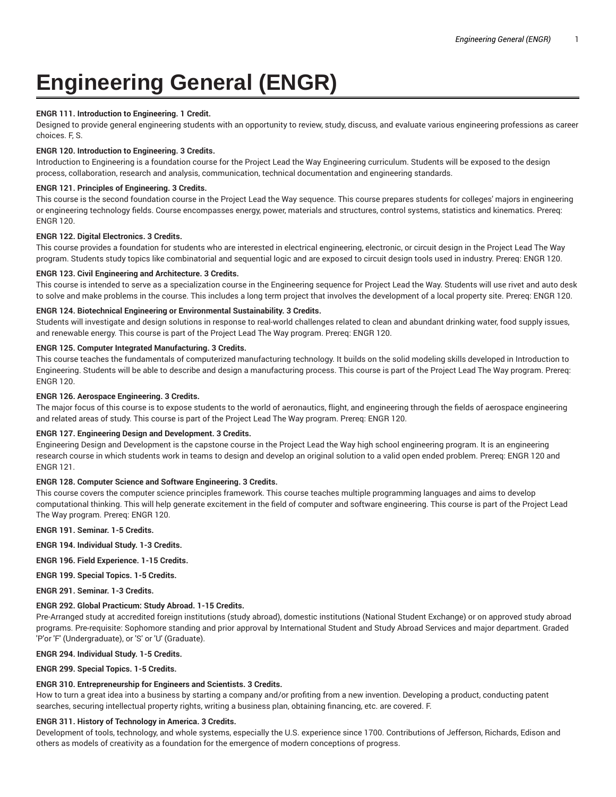# **Engineering General (ENGR)**

## **ENGR 111. Introduction to Engineering. 1 Credit.**

Designed to provide general engineering students with an opportunity to review, study, discuss, and evaluate various engineering professions as career choices. F, S.

## **ENGR 120. Introduction to Engineering. 3 Credits.**

Introduction to Engineering is a foundation course for the Project Lead the Way Engineering curriculum. Students will be exposed to the design process, collaboration, research and analysis, communication, technical documentation and engineering standards.

## **ENGR 121. Principles of Engineering. 3 Credits.**

This course is the second foundation course in the Project Lead the Way sequence. This course prepares students for colleges' majors in engineering or engineering technology fields. Course encompasses energy, power, materials and structures, control systems, statistics and kinematics. Prereq: ENGR 120.

## **ENGR 122. Digital Electronics. 3 Credits.**

This course provides a foundation for students who are interested in electrical engineering, electronic, or circuit design in the Project Lead The Way program. Students study topics like combinatorial and sequential logic and are exposed to circuit design tools used in industry. Prereq: ENGR 120.

## **ENGR 123. Civil Engineering and Architecture. 3 Credits.**

This course is intended to serve as a specialization course in the Engineering sequence for Project Lead the Way. Students will use rivet and auto desk to solve and make problems in the course. This includes a long term project that involves the development of a local property site. Prereq: ENGR 120.

# **ENGR 124. Biotechnical Engineering or Environmental Sustainability. 3 Credits.**

Students will investigate and design solutions in response to real-world challenges related to clean and abundant drinking water, food supply issues, and renewable energy. This course is part of the Project Lead The Way program. Prereq: ENGR 120.

# **ENGR 125. Computer Integrated Manufacturing. 3 Credits.**

This course teaches the fundamentals of computerized manufacturing technology. It builds on the solid modeling skills developed in Introduction to Engineering. Students will be able to describe and design a manufacturing process. This course is part of the Project Lead The Way program. Prereq: ENGR 120.

# **ENGR 126. Aerospace Engineering. 3 Credits.**

The major focus of this course is to expose students to the world of aeronautics, flight, and engineering through the fields of aerospace engineering and related areas of study. This course is part of the Project Lead The Way program. Prereq: ENGR 120.

## **ENGR 127. Engineering Design and Development. 3 Credits.**

Engineering Design and Development is the capstone course in the Project Lead the Way high school engineering program. It is an engineering research course in which students work in teams to design and develop an original solution to a valid open ended problem. Prereq: ENGR 120 and ENGR 121.

## **ENGR 128. Computer Science and Software Engineering. 3 Credits.**

This course covers the computer science principles framework. This course teaches multiple programming languages and aims to develop computational thinking. This will help generate excitement in the field of computer and software engineering. This course is part of the Project Lead The Way program. Prereq: ENGR 120.

**ENGR 191. Seminar. 1-5 Credits.**

**ENGR 194. Individual Study. 1-3 Credits.**

**ENGR 196. Field Experience. 1-15 Credits.**

**ENGR 199. Special Topics. 1-5 Credits.**

**ENGR 291. Seminar. 1-3 Credits.**

# **ENGR 292. Global Practicum: Study Abroad. 1-15 Credits.**

Pre-Arranged study at accredited foreign institutions (study abroad), domestic institutions (National Student Exchange) or on approved study abroad programs. Pre-requisite: Sophomore standing and prior approval by International Student and Study Abroad Services and major department. Graded 'P'or 'F' (Undergraduate), or 'S' or 'U' (Graduate).

## **ENGR 294. Individual Study. 1-5 Credits.**

**ENGR 299. Special Topics. 1-5 Credits.**

# **ENGR 310. Entrepreneurship for Engineers and Scientists. 3 Credits.**

How to turn a great idea into a business by starting a company and/or profiting from a new invention. Developing a product, conducting patent searches, securing intellectual property rights, writing a business plan, obtaining financing, etc. are covered. F.

## **ENGR 311. History of Technology in America. 3 Credits.**

Development of tools, technology, and whole systems, especially the U.S. experience since 1700. Contributions of Jefferson, Richards, Edison and others as models of creativity as a foundation for the emergence of modern conceptions of progress.